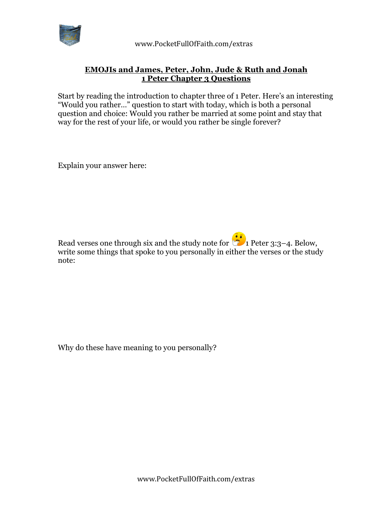

 www.PocketFullOfFaith.com/extras

## **EMOJIs and James, Peter, John, Jude & Ruth and Jonah 1 Peter Chapter 3 Questions**

Start by reading the introduction to chapter three of 1 Peter. Here's an interesting "Would you rather…" question to start with today, which is both a personal question and choice: Would you rather be married at some point and stay that way for the rest of your life, or would you rather be single forever?

Explain your answer here:

Read verses one through six and the study note for  $\ddot{\bullet}$  1 Peter 3:3–4. Below, write some things that spoke to you personally in either the verses or the study note:

Why do these have meaning to you personally?